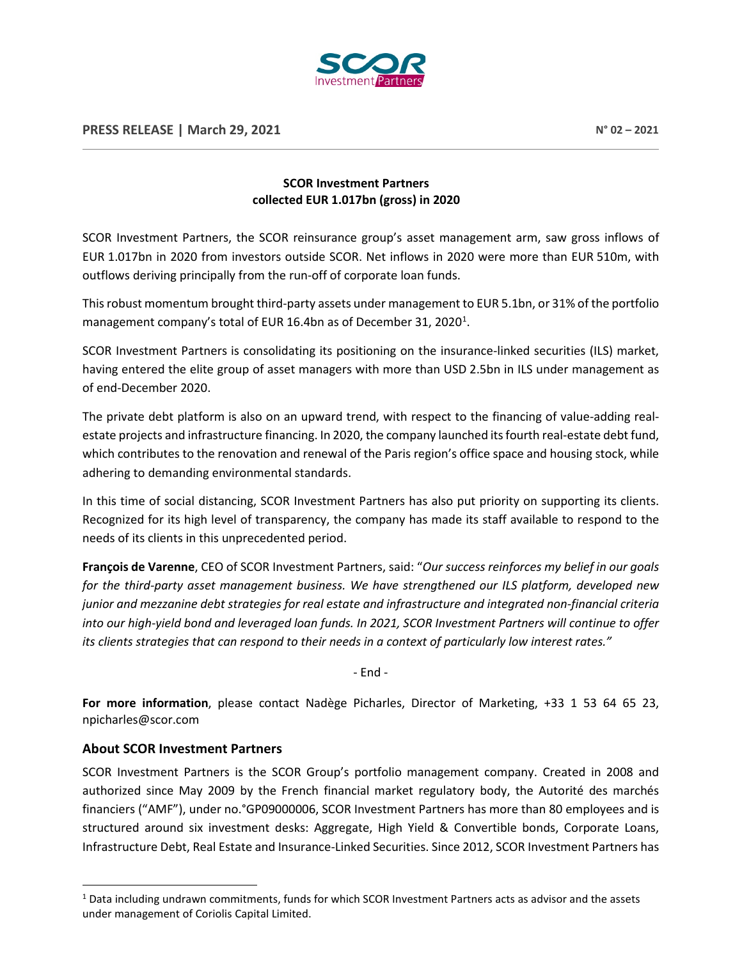

## **SCOR Investment Partners collected EUR 1.017bn (gross) in 2020**

SCOR Investment Partners, the SCOR reinsurance group's asset management arm, saw gross inflows of EUR 1.017bn in 2020 from investors outside SCOR. Net inflows in 2020 were more than EUR 510m, with outflows deriving principally from the run-off of corporate loan funds.

This robust momentum brought third-party assets under management to EUR 5.1bn, or 31% of the portfolio management company's total of EUR [1](#page-0-0)6.4bn as of December 31, 2020<sup>1</sup>.

SCOR Investment Partners is consolidating its positioning on the insurance-linked securities (ILS) market, having entered the elite group of asset managers with more than USD 2.5bn in ILS under management as of end-December 2020.

The private debt platform is also on an upward trend, with respect to the financing of value-adding realestate projects and infrastructure financing. In 2020, the company launched its fourth real-estate debt fund, which contributes to the renovation and renewal of the Paris region's office space and housing stock, while adhering to demanding environmental standards.

In this time of social distancing, SCOR Investment Partners has also put priority on supporting its clients. Recognized for its high level of transparency, the company has made its staff available to respond to the needs of its clients in this unprecedented period.

**François de Varenne**, CEO of SCOR Investment Partners, said: "*Our success reinforces my belief in our goals for the third-party asset management business. We have strengthened our ILS platform, developed new junior and mezzanine debt strategies for real estate and infrastructure and integrated non-financial criteria into our high-yield bond and leveraged loan funds. In 2021, SCOR Investment Partners will continue to offer its clients strategies that can respond to their needs in a context of particularly low interest rates."*

- End -

**For more information**, please contact Nadège Picharles, Director of Marketing, +33 1 53 64 65 23, npicharles@scor.com

## **About SCOR Investment Partners**

SCOR Investment Partners is the SCOR Group's portfolio management company. Created in 2008 and authorized since May 2009 by the French financial market regulatory body, the Autorité des marchés financiers ("AMF"), under no.°GP09000006, SCOR Investment Partners has more than 80 employees and is structured around six investment desks: Aggregate, High Yield & Convertible bonds, Corporate Loans, Infrastructure Debt, Real Estate and Insurance-Linked Securities. Since 2012, SCOR Investment Partners has

<span id="page-0-0"></span><sup>1</sup> Data including undrawn commitments, funds for which SCOR Investment Partners acts as advisor and the assets under management of Coriolis Capital Limited.